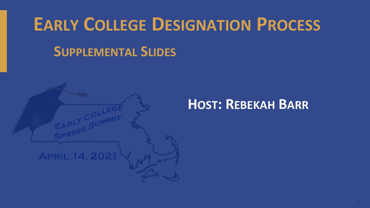## **EARLY COLLEGE DESIGNATION PROCESS SUPPLEMENTAL SLIDES**



#### **HOST: REBEKAH BARR**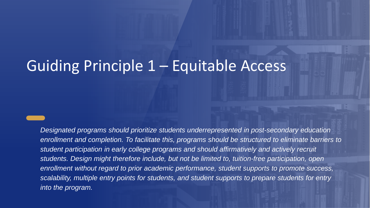#### Guiding Principle 1 – Equitable Access

*Designated programs should prioritize students underrepresented in post-secondary education enrollment and completion. To facilitate this, programs should be structured to eliminate barriers to student participation in early college programs and should affirmatively and actively recruit students. Design might therefore include, but not be limited to, tuition-free participation, open enrollment without regard to prior academic performance, student supports to promote success, scalability, multiple entry points for students, and student supports to prepare students for entry into the program.*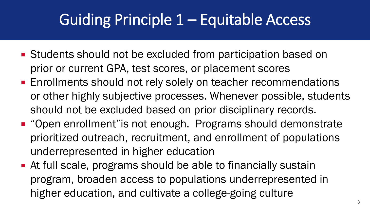#### Guiding Principle 1 – Equitable Access

■ Students should not be excluded from participation based on prior or current GPA, test scores, or placement scores

 $G$ uiding Principle 1: Equitable  $P$ rinciple 1: Equitable Access  $P$ rinciple 1: Equitable Access  $P$ 

- **Enrollments should not rely solely on teacher recommendations** or other highly subjective processes. Whenever possible, students should not be excluded based on prior disciplinary records.
- "Open enrollment" is not enough. Programs should demonstrate prioritized outreach, recruitment, and enrollment of populations underrepresented in higher education
- At full scale, programs should be able to financially sustain program, broaden access to populations underrepresented in higher education, and cultivate a college-going culture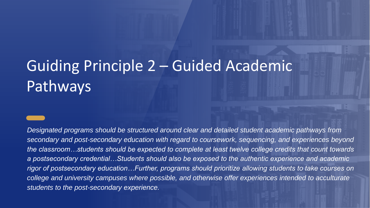### Guiding Principle 2 – Guided Academic Pathways

*Designated programs should be structured around clear and detailed student academic pathways from secondary and post-secondary education with regard to coursework, sequencing, and experiences beyond the classroom…students should be expected to complete at least twelve college credits that count towards a postsecondary credential…Students should also be exposed to the authentic experience and academic rigor of postsecondary education…Further, programs should prioritize allowing students to take courses on college and university campuses where possible, and otherwise offer experiences intended to acculturate students to the post-secondary experience.*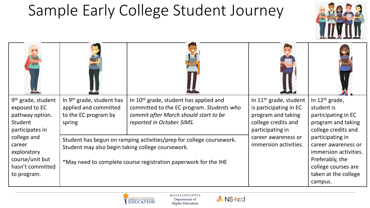### Sample Early College Student Journey



| 9 <sup>th</sup> grade, student<br>exposed to EC<br>pathway option.<br>Student<br>participates in<br>college and<br>career<br>exploratory<br>course/unit but<br>hasn't committed<br>to program. | In 9 <sup>th</sup> grade, student has<br>applied and committed<br>to the EC program by<br>spring                                                                                             | In 10 <sup>th</sup> grade, student has applied and<br>committed to the EC program. Students who<br>commit after March should start to be<br>reported in October SIMS. | In 11 <sup>th</sup> grade, student<br>is participating in EC<br>program and taking<br>college credits and<br>participating in | In $12th$ grade,<br>student is<br>participating in EC<br>program and taking<br>college credits and                                            |
|------------------------------------------------------------------------------------------------------------------------------------------------------------------------------------------------|----------------------------------------------------------------------------------------------------------------------------------------------------------------------------------------------|-----------------------------------------------------------------------------------------------------------------------------------------------------------------------|-------------------------------------------------------------------------------------------------------------------------------|-----------------------------------------------------------------------------------------------------------------------------------------------|
|                                                                                                                                                                                                | Student has begun on ramping activities/prep for college coursework.<br>Student may also begin taking college coursework.<br>*May need to complete course registration paperwork for the IHE |                                                                                                                                                                       | career awareness or<br>immersion activities.                                                                                  | participating in<br>career awareness or<br>immersion activities.<br>Preferably, the<br>college courses are<br>taken at the college<br>campus. |



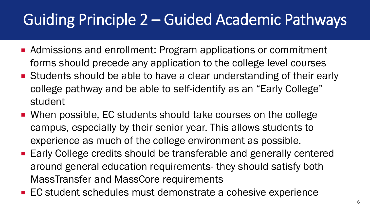### Guiding Principle 2 – Guided Academic Pathways

- Admissions and enrollment: Program applications or commitment forms should precede any application to the college level courses
- Students should be able to have a clear understanding of their early college pathway and be able to self-identify as an "Early College" student
- When possible, EC students should take courses on the college campus, especially by their senior year. This allows students to experience as much of the college environment as possible.
- Early College credits should be transferable and generally centered around general education requirements- they should satisfy both MassTransfer and MassCore requirements
- EC student schedules must demonstrate a cohesive experience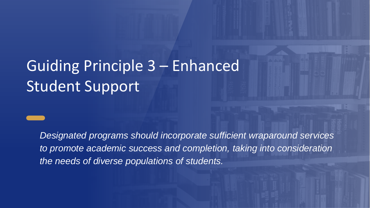### Guiding Principle 3 – Enhanced Student Support

*Designated programs should incorporate sufficient wraparound services to promote academic success and completion, taking into consideration the needs of diverse populations of students.*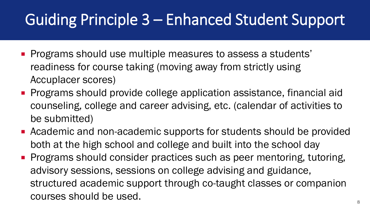### Guiding Principle 3 – Enhanced Student Support

- **Programs should use multiple measures to assess a students'** readiness for course taking (moving away from strictly using Accuplacer scores)
- **Programs should provide college application assistance, financial aid** counseling, college and career advising, etc. (calendar of activities to be submitted)
- Academic and non-academic supports for students should be provided both at the high school and college and built into the school day
- **Programs should consider practices such as peer mentoring, tutoring,** advisory sessions, sessions on college advising and guidance, structured academic support through co-taught classes or companion courses should be used.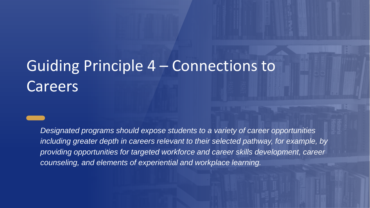#### Guiding Principle 4 – Connections to **Careers**

*Designated programs should expose students to a variety of career opportunities including greater depth in careers relevant to their selected pathway, for example, by providing opportunities for targeted workforce and career skills development, career counseling, and elements of experiential and workplace learning.*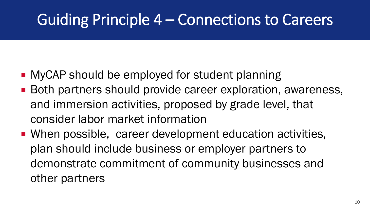#### Guiding Principle 4 – Connections to Careers

**NyCAP should be employed for student planning** 

 $G$ uiding Principle 1: Equitable  $P$ rinciple 1: Equitable Access  $P$ rinciple 1: Equitable Access  $P$ 

- Both partners should provide career exploration, awareness, and immersion activities, proposed by grade level, that consider labor market information
- When possible, career development education activities, plan should include business or employer partners to demonstrate commitment of community businesses and other partners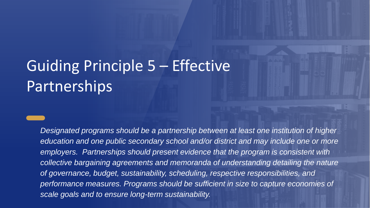#### Guiding Principle 5 – Effective **Partnerships**

*Designated programs should be a partnership between at least one institution of higher education and one public secondary school and/or district and may include one or more employers. Partnerships should present evidence that the program is consistent with collective bargaining agreements and memoranda of understanding detailing the nature of governance, budget, sustainability, scheduling, respective responsibilities, and performance measures. Programs should be sufficient in size to capture economies of scale goals and to ensure long-term sustainability.*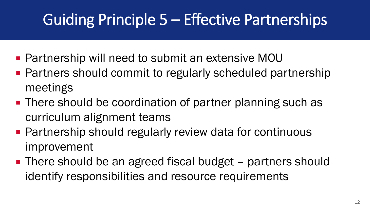### Guiding Principle 5 – Effective Partnerships

■ Partnership will need to submit an extensive MOU

 $G$ uiding Principle 1: Equitable  $P$ rinciple 1: Equitable Access  $P$ rinciple 1: Equitable Access  $P$ 

- Partners should commit to regularly scheduled partnership meetings
- There should be coordination of partner planning such as curriculum alignment teams
- **Partnership should regularly review data for continuous** improvement
- There should be an agreed fiscal budget partners should identify responsibilities and resource requirements